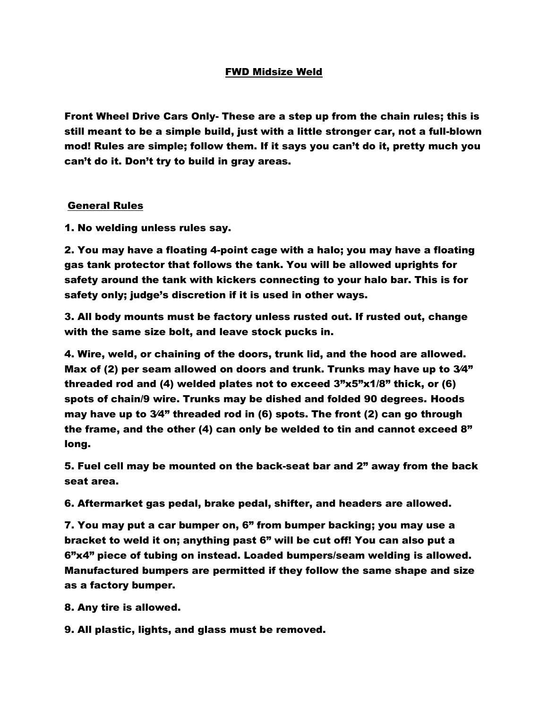## FWD Midsize Weld

Front Wheel Drive Cars Only- These are a step up from the chain rules; this is still meant to be a simple build, just with a little stronger car, not a full-blown mod! Rules are simple; follow them. If it says you can't do it, pretty much you can't do it. Don't try to build in gray areas.

## General Rules

1. No welding unless rules say.

2. You may have a floating 4-point cage with a halo; you may have a floating gas tank protector that follows the tank. You will be allowed uprights for safety around the tank with kickers connecting to your halo bar. This is for safety only; judge's discretion if it is used in other ways.

3. All body mounts must be factory unless rusted out. If rusted out, change with the same size bolt, and leave stock pucks in.

4. Wire, weld, or chaining of the doors, trunk lid, and the hood are allowed. Max of (2) per seam allowed on doors and trunk. Trunks may have up to 3⁄4" threaded rod and (4) welded plates not to exceed 3"x5"x1/8" thick, or (6) spots of chain/9 wire. Trunks may be dished and folded 90 degrees. Hoods may have up to 3⁄4" threaded rod in (6) spots. The front (2) can go through the frame, and the other (4) can only be welded to tin and cannot exceed 8" long.

5. Fuel cell may be mounted on the back-seat bar and 2" away from the back seat area.

6. Aftermarket gas pedal, brake pedal, shifter, and headers are allowed.

7. You may put a car bumper on, 6" from bumper backing; you may use a bracket to weld it on; anything past 6" will be cut off! You can also put a 6"x4" piece of tubing on instead. Loaded bumpers/seam welding is allowed. Manufactured bumpers are permitted if they follow the same shape and size as a factory bumper.

8. Any tire is allowed.

9. All plastic, lights, and glass must be removed.